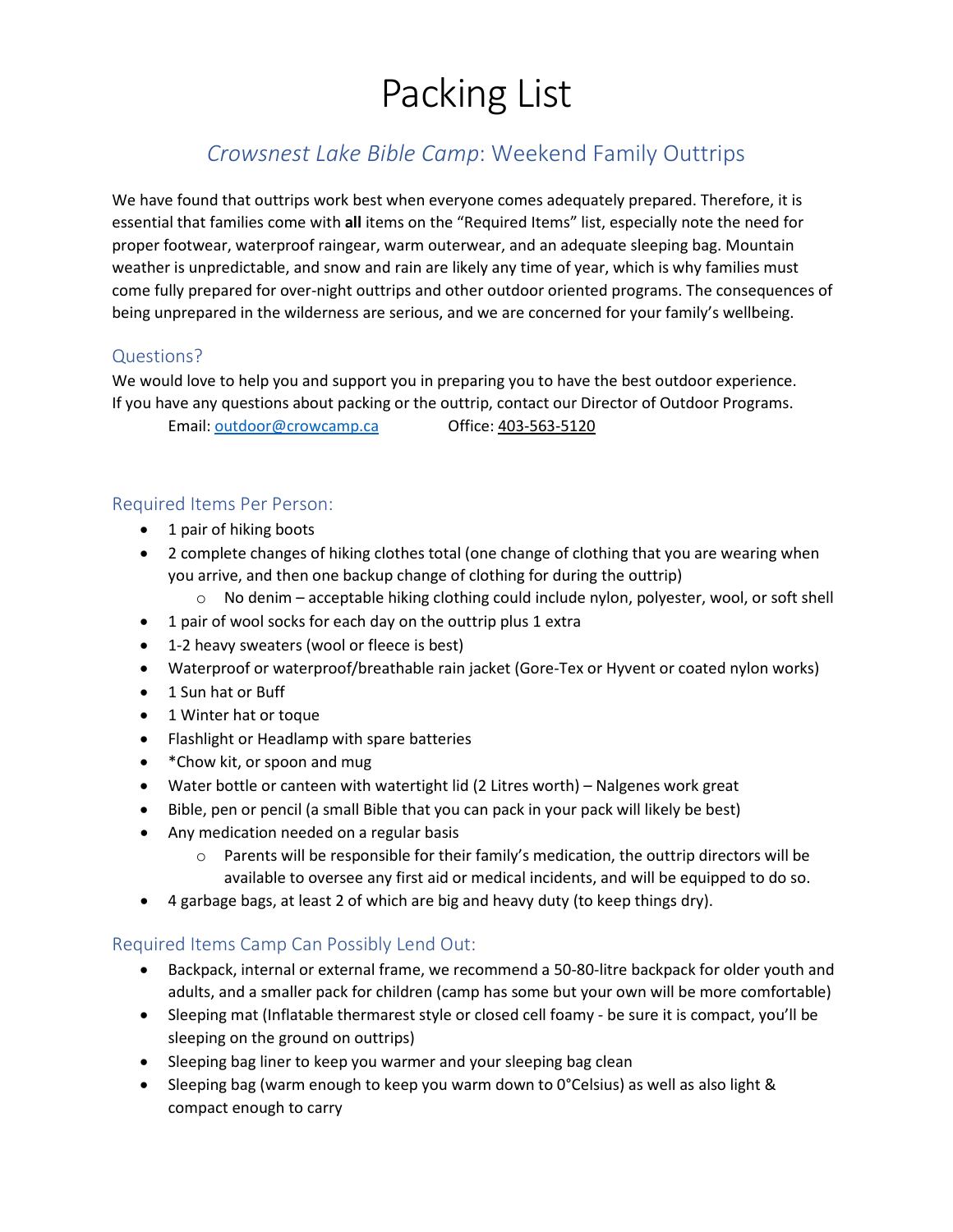# Packing List

## *Crowsnest Lake Bible Camp*: Weekend Family Outtrips

We have found that outtrips work best when everyone comes adequately prepared. Therefore, it is essential that families come with **all** items on the "Required Items" list, especially note the need for proper footwear, waterproof raingear, warm outerwear, and an adequate sleeping bag. Mountain weather is unpredictable, and snow and rain are likely any time of year, which is why families must come fully prepared for over-night outtrips and other outdoor oriented programs. The consequences of being unprepared in the wilderness are serious, and we are concerned for your family's wellbeing.

## Questions?

We would love to help you and support you in preparing you to have the best outdoor experience. If you have any questions about packing or the outtrip, contact our Director of Outdoor Programs.

Email: [outdoor@crowcamp.ca](mailto:outdoor@crowcamp.ca) Office: 403-563-5120

## Required Items Per Person:

- 1 pair of hiking boots
- 2 complete changes of hiking clothes total (one change of clothing that you are wearing when you arrive, and then one backup change of clothing for during the outtrip)
	- $\circ$  No denim acceptable hiking clothing could include nylon, polyester, wool, or soft shell
- 1 pair of wool socks for each day on the outtrip plus 1 extra
- 1-2 heavy sweaters (wool or fleece is best)
- Waterproof or waterproof/breathable rain jacket (Gore-Tex or Hyvent or coated nylon works)
- 1 Sun hat or Buff
- 1 Winter hat or toque
- Flashlight or Headlamp with spare batteries
- \* Chow kit, or spoon and mug
- Water bottle or canteen with watertight lid (2 Litres worth) Nalgenes work great
- Bible, pen or pencil (a small Bible that you can pack in your pack will likely be best)
- Any medication needed on a regular basis
	- $\circ$  Parents will be responsible for their family's medication, the outtrip directors will be available to oversee any first aid or medical incidents, and will be equipped to do so.
- 4 garbage bags, at least 2 of which are big and heavy duty (to keep things dry).

## Required Items Camp Can Possibly Lend Out:

- Backpack, internal or external frame, we recommend a 50-80-litre backpack for older youth and adults, and a smaller pack for children (camp has some but your own will be more comfortable)
- Sleeping mat (Inflatable thermarest style or closed cell foamy be sure it is compact, you'll be sleeping on the ground on outtrips)
- Sleeping bag liner to keep you warmer and your sleeping bag clean
- Sleeping bag (warm enough to keep you warm down to 0°Celsius) as well as also light & compact enough to carry